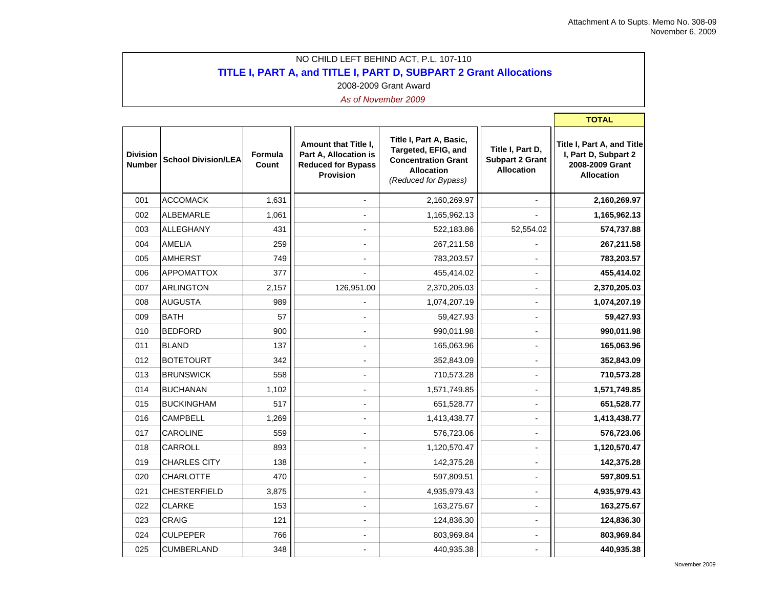÷,

**The Company** 

## NO CHILD LEFT BEHIND ACT, P.L. 107-110 **TITLE I, PART A, and TITLE I, PART D, SUBPART 2 Grant Allocations** 2008-2009 Grant Award

|                                  |                            |                  |                                                                                                |                                                                                                                           |                                                                 | <b>TOTAL</b>                                                                               |
|----------------------------------|----------------------------|------------------|------------------------------------------------------------------------------------------------|---------------------------------------------------------------------------------------------------------------------------|-----------------------------------------------------------------|--------------------------------------------------------------------------------------------|
| <b>Division</b><br><b>Number</b> | <b>School Division/LEA</b> | Formula<br>Count | Amount that Title I,<br>Part A, Allocation is<br><b>Reduced for Bypass</b><br><b>Provision</b> | Title I, Part A, Basic,<br>Targeted, EFIG, and<br><b>Concentration Grant</b><br><b>Allocation</b><br>(Reduced for Bypass) | Title I, Part D,<br><b>Subpart 2 Grant</b><br><b>Allocation</b> | Title I, Part A, and Title<br>I, Part D, Subpart 2<br>2008-2009 Grant<br><b>Allocation</b> |
| 001                              | <b>ACCOMACK</b>            | 1,631            | $\blacksquare$                                                                                 | 2,160,269.97                                                                                                              | $\overline{a}$                                                  | 2,160,269.97                                                                               |
| 002                              | <b>ALBEMARLE</b>           | 1,061            |                                                                                                | 1,165,962.13                                                                                                              |                                                                 | 1,165,962.13                                                                               |
| 003                              | <b>ALLEGHANY</b>           | 431              |                                                                                                | 522,183.86                                                                                                                | 52,554.02                                                       | 574,737.88                                                                                 |
| 004                              | <b>AMELIA</b>              | 259              |                                                                                                | 267,211.58                                                                                                                |                                                                 | 267,211.58                                                                                 |
| 005                              | <b>AMHERST</b>             | 749              |                                                                                                | 783,203.57                                                                                                                | $\overline{a}$                                                  | 783,203.57                                                                                 |
| 006                              | <b>APPOMATTOX</b>          | 377              |                                                                                                | 455,414.02                                                                                                                |                                                                 | 455,414.02                                                                                 |
| 007                              | <b>ARLINGTON</b>           | 2,157            | 126,951.00                                                                                     | 2,370,205.03                                                                                                              | $\overline{\phantom{a}}$                                        | 2,370,205.03                                                                               |
| 008                              | <b>AUGUSTA</b>             | 989              |                                                                                                | 1,074,207.19                                                                                                              | ٠                                                               | 1,074,207.19                                                                               |
| 009                              | <b>BATH</b>                | 57               |                                                                                                | 59,427.93                                                                                                                 |                                                                 | 59,427.93                                                                                  |
| 010                              | <b>BEDFORD</b>             | 900              |                                                                                                | 990,011.98                                                                                                                |                                                                 | 990,011.98                                                                                 |
| 011                              | <b>BLAND</b>               | 137              |                                                                                                | 165,063.96                                                                                                                |                                                                 | 165,063.96                                                                                 |
| 012                              | <b>BOTETOURT</b>           | 342              |                                                                                                | 352,843.09                                                                                                                |                                                                 | 352,843.09                                                                                 |
| 013                              | <b>BRUNSWICK</b>           | 558              | $\blacksquare$                                                                                 | 710,573.28                                                                                                                | $\blacksquare$                                                  | 710,573.28                                                                                 |
| 014                              | <b>BUCHANAN</b>            | 1,102            |                                                                                                | 1,571,749.85                                                                                                              | $\blacksquare$                                                  | 1,571,749.85                                                                               |
| 015                              | <b>BUCKINGHAM</b>          | 517              |                                                                                                | 651,528.77                                                                                                                | $\blacksquare$                                                  | 651,528.77                                                                                 |
| 016                              | <b>CAMPBELL</b>            | 1,269            |                                                                                                | 1,413,438.77                                                                                                              |                                                                 | 1,413,438.77                                                                               |
| 017                              | CAROLINE                   | 559              |                                                                                                | 576,723.06                                                                                                                | $\overline{a}$                                                  | 576,723.06                                                                                 |
| 018                              | CARROLL                    | 893              |                                                                                                | 1,120,570.47                                                                                                              |                                                                 | 1,120,570.47                                                                               |
| 019                              | <b>CHARLES CITY</b>        | 138              |                                                                                                | 142,375.28                                                                                                                | L,                                                              | 142,375.28                                                                                 |
| 020                              | <b>CHARLOTTE</b>           | 470              |                                                                                                | 597,809.51                                                                                                                | $\blacksquare$                                                  | 597,809.51                                                                                 |
| 021                              | <b>CHESTERFIELD</b>        | 3,875            |                                                                                                | 4,935,979.43                                                                                                              | $\overline{\phantom{a}}$                                        | 4,935,979.43                                                                               |
| 022                              | <b>CLARKE</b>              | 153              |                                                                                                | 163,275.67                                                                                                                | $\overline{a}$                                                  | 163,275.67                                                                                 |
| 023                              | CRAIG                      | 121              |                                                                                                | 124,836.30                                                                                                                | $\overline{a}$                                                  | 124,836.30                                                                                 |
| 024                              | CULPEPER                   | 766              |                                                                                                | 803,969.84                                                                                                                |                                                                 | 803,969.84                                                                                 |
| 025                              | <b>CUMBERLAND</b>          | 348              |                                                                                                | 440,935.38                                                                                                                |                                                                 | 440,935.38                                                                                 |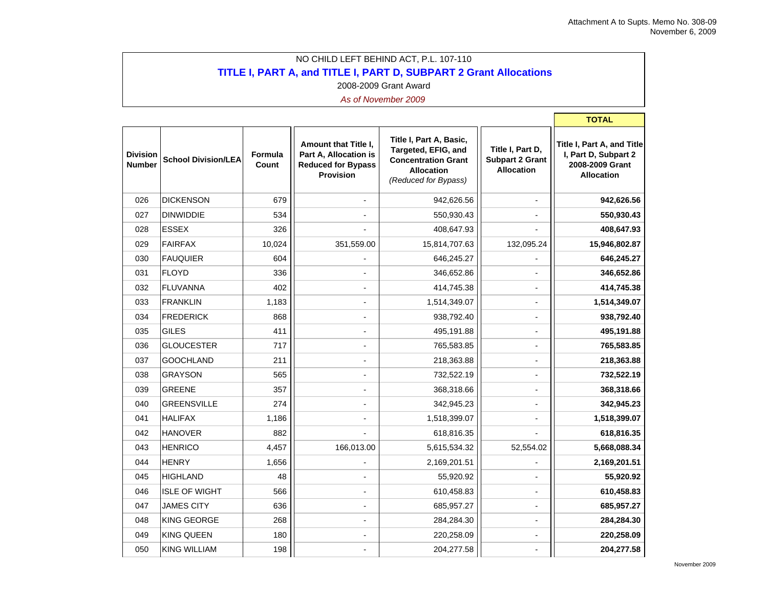**Contract** 

## NO CHILD LEFT BEHIND ACT, P.L. 107-110 **TITLE I, PART A, and TITLE I, PART D, SUBPART 2 Grant Allocations** 2008-2009 Grant Award

|                                  |                            |                  |                                                                                                |                                                                                                                           |                                                                 | TOTAL                                                                                      |
|----------------------------------|----------------------------|------------------|------------------------------------------------------------------------------------------------|---------------------------------------------------------------------------------------------------------------------------|-----------------------------------------------------------------|--------------------------------------------------------------------------------------------|
| <b>Division</b><br><b>Number</b> | <b>School Division/LEA</b> | Formula<br>Count | Amount that Title I.<br>Part A, Allocation is<br><b>Reduced for Bypass</b><br><b>Provision</b> | Title I, Part A, Basic,<br>Targeted, EFIG, and<br><b>Concentration Grant</b><br><b>Allocation</b><br>(Reduced for Bypass) | Title I, Part D,<br><b>Subpart 2 Grant</b><br><b>Allocation</b> | Title I, Part A, and Title<br>I, Part D, Subpart 2<br>2008-2009 Grant<br><b>Allocation</b> |
| 026                              | <b>DICKENSON</b>           | 679              |                                                                                                | 942,626.56                                                                                                                |                                                                 | 942,626.56                                                                                 |
| 027                              | <b>DINWIDDIE</b>           | 534              |                                                                                                | 550,930.43                                                                                                                |                                                                 | 550,930.43                                                                                 |
| 028                              | <b>ESSEX</b>               | 326              |                                                                                                | 408,647.93                                                                                                                |                                                                 | 408,647.93                                                                                 |
| 029                              | <b>FAIRFAX</b>             | 10,024           | 351,559.00                                                                                     | 15,814,707.63                                                                                                             | 132,095.24                                                      | 15,946,802.87                                                                              |
| 030                              | <b>FAUQUIER</b>            | 604              |                                                                                                | 646,245.27                                                                                                                |                                                                 | 646,245.27                                                                                 |
| 031                              | <b>FLOYD</b>               | 336              |                                                                                                | 346,652.86                                                                                                                |                                                                 | 346,652.86                                                                                 |
| 032                              | <b>FLUVANNA</b>            | 402              |                                                                                                | 414,745.38                                                                                                                |                                                                 | 414,745.38                                                                                 |
| 033                              | <b>FRANKLIN</b>            | 1,183            |                                                                                                | 1,514,349.07                                                                                                              |                                                                 | 1,514,349.07                                                                               |
| 034                              | <b>FREDERICK</b>           | 868              |                                                                                                | 938,792.40                                                                                                                | $\blacksquare$                                                  | 938,792.40                                                                                 |
| 035                              | GILES                      | 411              |                                                                                                | 495,191.88                                                                                                                | $\overline{a}$                                                  | 495,191.88                                                                                 |
| 036                              | <b>GLOUCESTER</b>          | 717              |                                                                                                | 765,583.85                                                                                                                | ٠                                                               | 765,583.85                                                                                 |
| 037                              | <b>GOOCHLAND</b>           | 211              |                                                                                                | 218,363.88                                                                                                                | $\overline{a}$                                                  | 218,363.88                                                                                 |
| 038                              | <b>GRAYSON</b>             | 565              |                                                                                                | 732,522.19                                                                                                                | ٠                                                               | 732,522.19                                                                                 |
| 039                              | <b>GREENE</b>              | 357              |                                                                                                | 368,318.66                                                                                                                | $\overline{\phantom{a}}$                                        | 368,318.66                                                                                 |
| 040                              | <b>GREENSVILLE</b>         | 274              |                                                                                                | 342,945.23                                                                                                                |                                                                 | 342,945.23                                                                                 |
| 041                              | <b>HALIFAX</b>             | 1,186            |                                                                                                | 1,518,399.07                                                                                                              |                                                                 | 1,518,399.07                                                                               |
| 042                              | <b>HANOVER</b>             | 882              |                                                                                                | 618,816.35                                                                                                                |                                                                 | 618,816.35                                                                                 |
| 043                              | <b>HENRICO</b>             | 4,457            | 166,013.00                                                                                     | 5,615,534.32                                                                                                              | 52,554.02                                                       | 5,668,088.34                                                                               |
| 044                              | <b>HENRY</b>               | 1,656            |                                                                                                | 2,169,201.51                                                                                                              |                                                                 | 2,169,201.51                                                                               |
| 045                              | <b>HIGHLAND</b>            | 48               |                                                                                                | 55,920.92                                                                                                                 |                                                                 | 55,920.92                                                                                  |
| 046                              | <b>ISLE OF WIGHT</b>       | 566              |                                                                                                | 610,458.83                                                                                                                |                                                                 | 610,458.83                                                                                 |
| 047                              | <b>JAMES CITY</b>          | 636              |                                                                                                | 685,957.27                                                                                                                |                                                                 | 685,957.27                                                                                 |
| 048                              | <b>KING GEORGE</b>         | 268              |                                                                                                | 284,284.30                                                                                                                |                                                                 | 284,284.30                                                                                 |
| 049                              | <b>KING QUEEN</b>          | 180              |                                                                                                | 220,258.09                                                                                                                |                                                                 | 220,258.09                                                                                 |
| 050                              | <b>KING WILLIAM</b>        | 198              |                                                                                                | 204,277.58                                                                                                                |                                                                 | 204,277.58                                                                                 |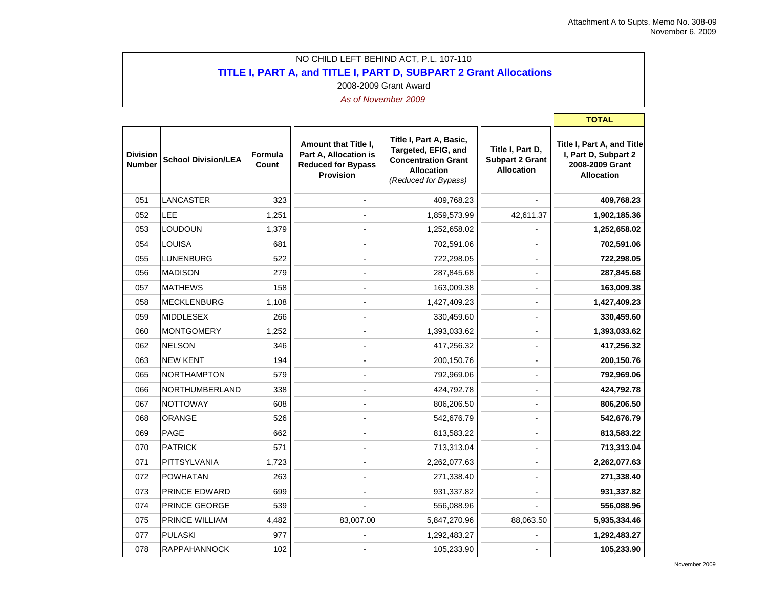**The Common** 

## NO CHILD LEFT BEHIND ACT, P.L. 107-110 **TITLE I, PART A, and TITLE I, PART D, SUBPART 2 Grant Allocations** 2008-2009 Grant Award

|                                  |                            |                  |                                                                                                       |                                                                                                                           |                                                                 | <b>TOTAL</b>                                                                               |
|----------------------------------|----------------------------|------------------|-------------------------------------------------------------------------------------------------------|---------------------------------------------------------------------------------------------------------------------------|-----------------------------------------------------------------|--------------------------------------------------------------------------------------------|
| <b>Division</b><br><b>Number</b> | <b>School Division/LEA</b> | Formula<br>Count | <b>Amount that Title I,</b><br>Part A, Allocation is<br><b>Reduced for Bypass</b><br><b>Provision</b> | Title I, Part A, Basic,<br>Targeted, EFIG, and<br><b>Concentration Grant</b><br><b>Allocation</b><br>(Reduced for Bypass) | Title I, Part D,<br><b>Subpart 2 Grant</b><br><b>Allocation</b> | Title I, Part A, and Title<br>I, Part D, Subpart 2<br>2008-2009 Grant<br><b>Allocation</b> |
| 051                              | LANCASTER                  | 323              | $\overline{a}$                                                                                        | 409,768.23                                                                                                                |                                                                 | 409,768.23                                                                                 |
| 052                              | LEE                        | 1,251            |                                                                                                       | 1,859,573.99                                                                                                              | 42,611.37                                                       | 1,902,185.36                                                                               |
| 053                              | LOUDOUN                    | 1,379            |                                                                                                       | 1,252,658.02                                                                                                              |                                                                 | 1,252,658.02                                                                               |
| 054                              | <b>LOUISA</b>              | 681              |                                                                                                       | 702,591.06                                                                                                                | $\overline{a}$                                                  | 702,591.06                                                                                 |
| 055                              | <b>LUNENBURG</b>           | 522              |                                                                                                       | 722,298.05                                                                                                                |                                                                 | 722,298.05                                                                                 |
| 056                              | <b>MADISON</b>             | 279              |                                                                                                       | 287,845.68                                                                                                                |                                                                 | 287,845.68                                                                                 |
| 057                              | <b>MATHEWS</b>             | 158              |                                                                                                       | 163,009.38                                                                                                                | $\blacksquare$                                                  | 163,009.38                                                                                 |
| 058                              | <b>MECKLENBURG</b>         | 1,108            |                                                                                                       | 1,427,409.23                                                                                                              | $\blacksquare$                                                  | 1,427,409.23                                                                               |
| 059                              | <b>MIDDLESEX</b>           | 266              |                                                                                                       | 330,459.60                                                                                                                | $\blacksquare$                                                  | 330,459.60                                                                                 |
| 060                              | <b>MONTGOMERY</b>          | 1,252            |                                                                                                       | 1,393,033.62                                                                                                              |                                                                 | 1,393,033.62                                                                               |
| 062                              | <b>NELSON</b>              | 346              |                                                                                                       | 417,256.32                                                                                                                |                                                                 | 417,256.32                                                                                 |
| 063                              | <b>NEW KENT</b>            | 194              |                                                                                                       | 200,150.76                                                                                                                |                                                                 | 200,150.76                                                                                 |
| 065                              | <b>NORTHAMPTON</b>         | 579              |                                                                                                       | 792,969.06                                                                                                                | $\overline{a}$                                                  | 792,969.06                                                                                 |
| 066                              | NORTHUMBERLAND             | 338              |                                                                                                       | 424,792.78                                                                                                                |                                                                 | 424,792.78                                                                                 |
| 067                              | <b>NOTTOWAY</b>            | 608              |                                                                                                       | 806,206.50                                                                                                                | $\blacksquare$                                                  | 806,206.50                                                                                 |
| 068                              | ORANGE                     | 526              |                                                                                                       | 542,676.79                                                                                                                | $\blacksquare$                                                  | 542,676.79                                                                                 |
| 069                              | <b>PAGE</b>                | 662              | $\blacksquare$                                                                                        | 813,583.22                                                                                                                | $\blacksquare$                                                  | 813,583.22                                                                                 |
| 070                              | <b>PATRICK</b>             | 571              |                                                                                                       | 713,313.04                                                                                                                |                                                                 | 713,313.04                                                                                 |
| 071                              | <b>PITTSYLVANIA</b>        | 1,723            |                                                                                                       | 2,262,077.63                                                                                                              |                                                                 | 2,262,077.63                                                                               |
| 072                              | <b>POWHATAN</b>            | 263              |                                                                                                       | 271,338.40                                                                                                                |                                                                 | 271,338.40                                                                                 |
| 073                              | <b>PRINCE EDWARD</b>       | 699              |                                                                                                       | 931,337.82                                                                                                                |                                                                 | 931,337.82                                                                                 |
| 074                              | <b>PRINCE GEORGE</b>       | 539              |                                                                                                       | 556,088.96                                                                                                                |                                                                 | 556,088.96                                                                                 |
| 075                              | <b>PRINCE WILLIAM</b>      | 4,482            | 83,007.00                                                                                             | 5,847,270.96                                                                                                              | 88,063.50                                                       | 5,935,334.46                                                                               |
| 077                              | <b>PULASKI</b>             | 977              |                                                                                                       | 1,292,483.27                                                                                                              |                                                                 | 1,292,483.27                                                                               |
| 078                              | <b>RAPPAHANNOCK</b>        | 102              |                                                                                                       | 105,233.90                                                                                                                |                                                                 | 105,233.90                                                                                 |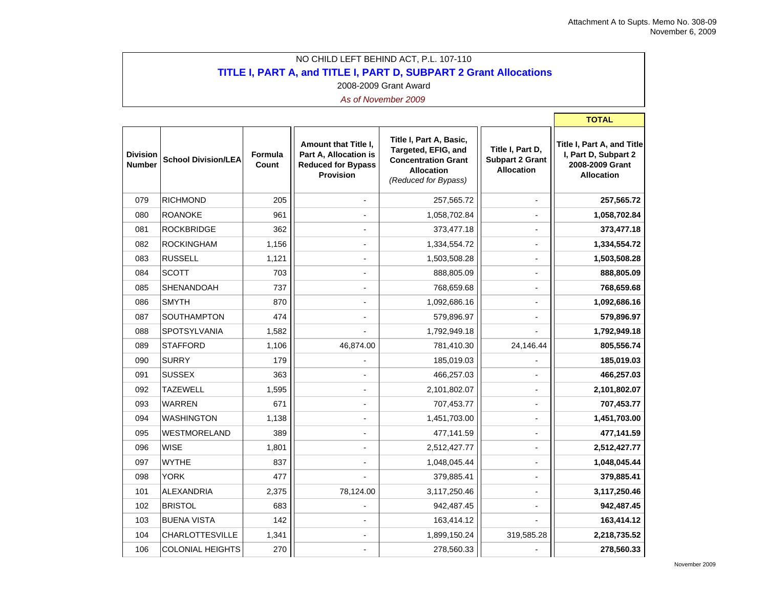**The Common** 

## NO CHILD LEFT BEHIND ACT, P.L. 107-110 **TITLE I, PART A, and TITLE I, PART D, SUBPART 2 Grant Allocations** 2008-2009 Grant Award

|                                  |                            |                  |                                                                                                |                                                                                                                           |                                                                 | <b>TOTAL</b>                                                                               |
|----------------------------------|----------------------------|------------------|------------------------------------------------------------------------------------------------|---------------------------------------------------------------------------------------------------------------------------|-----------------------------------------------------------------|--------------------------------------------------------------------------------------------|
| <b>Division</b><br><b>Number</b> | <b>School Division/LEA</b> | Formula<br>Count | Amount that Title I,<br>Part A, Allocation is<br><b>Reduced for Bypass</b><br><b>Provision</b> | Title I, Part A, Basic,<br>Targeted, EFIG, and<br><b>Concentration Grant</b><br><b>Allocation</b><br>(Reduced for Bypass) | Title I, Part D,<br><b>Subpart 2 Grant</b><br><b>Allocation</b> | Title I, Part A, and Title<br>I, Part D, Subpart 2<br>2008-2009 Grant<br><b>Allocation</b> |
| 079                              | <b>RICHMOND</b>            | 205              |                                                                                                | 257,565.72                                                                                                                | $\overline{a}$                                                  | 257,565.72                                                                                 |
| 080                              | <b>ROANOKE</b>             | 961              |                                                                                                | 1,058,702.84                                                                                                              |                                                                 | 1,058,702.84                                                                               |
| 081                              | <b>ROCKBRIDGE</b>          | 362              |                                                                                                | 373,477.18                                                                                                                |                                                                 | 373,477.18                                                                                 |
| 082                              | <b>ROCKINGHAM</b>          | 1,156            |                                                                                                | 1,334,554.72                                                                                                              | $\overline{a}$                                                  | 1,334,554.72                                                                               |
| 083                              | <b>RUSSELL</b>             | 1,121            |                                                                                                | 1,503,508.28                                                                                                              | $\blacksquare$                                                  | 1,503,508.28                                                                               |
| 084                              | <b>SCOTT</b>               | 703              |                                                                                                | 888,805.09                                                                                                                | $\blacksquare$                                                  | 888,805.09                                                                                 |
| 085                              | <b>SHENANDOAH</b>          | 737              |                                                                                                | 768,659.68                                                                                                                | $\blacksquare$                                                  | 768,659.68                                                                                 |
| 086                              | <b>SMYTH</b>               | 870              |                                                                                                | 1,092,686.16                                                                                                              | $\overline{a}$                                                  | 1,092,686.16                                                                               |
| 087                              | SOUTHAMPTON                | 474              |                                                                                                | 579,896.97                                                                                                                |                                                                 | 579,896.97                                                                                 |
| 088                              | SPOTSYLVANIA               | 1,582            |                                                                                                | 1,792,949.18                                                                                                              |                                                                 | 1,792,949.18                                                                               |
| 089                              | <b>STAFFORD</b>            | 1,106            | 46,874.00                                                                                      | 781,410.30                                                                                                                | 24,146.44                                                       | 805,556.74                                                                                 |
| 090                              | <b>SURRY</b>               | 179              |                                                                                                | 185,019.03                                                                                                                |                                                                 | 185,019.03                                                                                 |
| 091                              | <b>SUSSEX</b>              | 363              |                                                                                                | 466,257.03                                                                                                                |                                                                 | 466,257.03                                                                                 |
| 092                              | <b>TAZEWELL</b>            | 1,595            |                                                                                                | 2,101,802.07                                                                                                              | $\blacksquare$                                                  | 2,101,802.07                                                                               |
| 093                              | <b>WARREN</b>              | 671              |                                                                                                | 707,453.77                                                                                                                | $\overline{a}$                                                  | 707,453.77                                                                                 |
| 094                              | <b>WASHINGTON</b>          | 1,138            |                                                                                                | 1,451,703.00                                                                                                              |                                                                 | 1,451,703.00                                                                               |
| 095                              | WESTMORELAND               | 389              |                                                                                                | 477,141.59                                                                                                                | $\overline{a}$                                                  | 477,141.59                                                                                 |
| 096                              | <b>WISE</b>                | 1,801            |                                                                                                | 2,512,427.77                                                                                                              |                                                                 | 2,512,427.77                                                                               |
| 097                              | <b>WYTHE</b>               | 837              |                                                                                                | 1,048,045.44                                                                                                              | $\blacksquare$                                                  | 1,048,045.44                                                                               |
| 098                              | <b>YORK</b>                | 477              |                                                                                                | 379,885.41                                                                                                                | $\overline{a}$                                                  | 379,885.41                                                                                 |
| 101                              | <b>ALEXANDRIA</b>          | 2,375            | 78,124.00                                                                                      | 3,117,250.46                                                                                                              | $\blacksquare$                                                  | 3,117,250.46                                                                               |
| 102                              | <b>BRISTOL</b>             | 683              |                                                                                                | 942,487.45                                                                                                                |                                                                 | 942,487.45                                                                                 |
| 103                              | <b>BUENA VISTA</b>         | 142              |                                                                                                | 163,414.12                                                                                                                |                                                                 | 163,414.12                                                                                 |
| 104                              | <b>CHARLOTTESVILLE</b>     | 1,341            |                                                                                                | 1,899,150.24                                                                                                              | 319,585.28                                                      | 2,218,735.52                                                                               |
| 106                              | <b>COLONIAL HEIGHTS</b>    | 270              |                                                                                                | 278,560.33                                                                                                                |                                                                 | 278,560.33                                                                                 |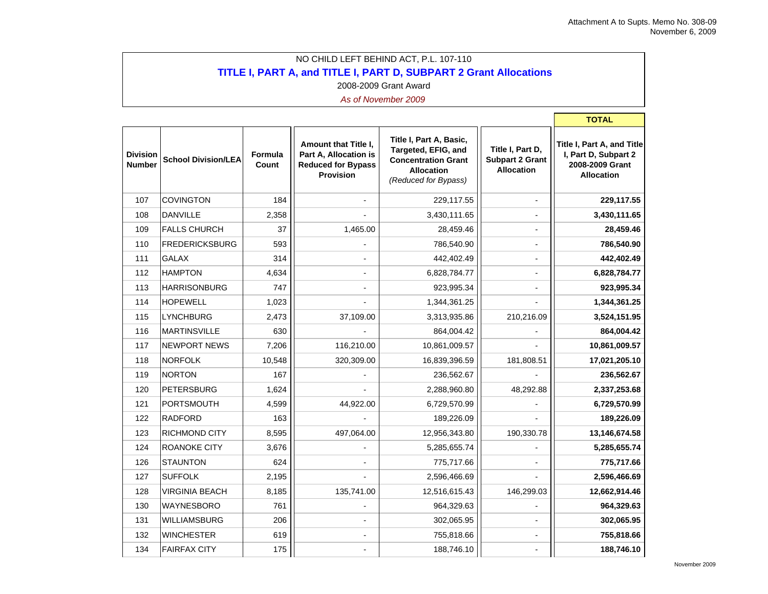**The Common** 

## NO CHILD LEFT BEHIND ACT, P.L. 107-110 **TITLE I, PART A, and TITLE I, PART D, SUBPART 2 Grant Allocations** 2008-2009 Grant Award

|                                  |                            |                  |                                                                                                |                                                                                                                           |                                                                 | <b>TOTAL</b>                                                                               |
|----------------------------------|----------------------------|------------------|------------------------------------------------------------------------------------------------|---------------------------------------------------------------------------------------------------------------------------|-----------------------------------------------------------------|--------------------------------------------------------------------------------------------|
| <b>Division</b><br><b>Number</b> | <b>School Division/LEA</b> | Formula<br>Count | Amount that Title I,<br>Part A, Allocation is<br><b>Reduced for Bypass</b><br><b>Provision</b> | Title I, Part A, Basic,<br>Targeted, EFIG, and<br><b>Concentration Grant</b><br><b>Allocation</b><br>(Reduced for Bypass) | Title I, Part D,<br><b>Subpart 2 Grant</b><br><b>Allocation</b> | Title I, Part A, and Title<br>I, Part D, Subpart 2<br>2008-2009 Grant<br><b>Allocation</b> |
| 107                              | <b>COVINGTON</b>           | 184              |                                                                                                | 229,117.55                                                                                                                | $\overline{a}$                                                  | 229,117.55                                                                                 |
| 108                              | <b>DANVILLE</b>            | 2,358            |                                                                                                | 3,430,111.65                                                                                                              |                                                                 | 3,430,111.65                                                                               |
| 109                              | <b>FALLS CHURCH</b>        | 37               | 1,465.00                                                                                       | 28,459.46                                                                                                                 |                                                                 | 28,459.46                                                                                  |
| 110                              | <b>FREDERICKSBURG</b>      | 593              |                                                                                                | 786,540.90                                                                                                                |                                                                 | 786,540.90                                                                                 |
| 111                              | <b>GALAX</b>               | 314              |                                                                                                | 442,402.49                                                                                                                | $\overline{a}$                                                  | 442,402.49                                                                                 |
| 112                              | <b>HAMPTON</b>             | 4,634            |                                                                                                | 6,828,784.77                                                                                                              |                                                                 | 6,828,784.77                                                                               |
| 113                              | <b>HARRISONBURG</b>        | 747              |                                                                                                | 923,995.34                                                                                                                |                                                                 | 923,995.34                                                                                 |
| 114                              | <b>HOPEWELL</b>            | 1,023            |                                                                                                | 1,344,361.25                                                                                                              |                                                                 | 1,344,361.25                                                                               |
| 115                              | <b>LYNCHBURG</b>           | 2,473            | 37,109.00                                                                                      | 3,313,935.86                                                                                                              | 210,216.09                                                      | 3,524,151.95                                                                               |
| 116                              | <b>MARTINSVILLE</b>        | 630              |                                                                                                | 864,004.42                                                                                                                |                                                                 | 864,004.42                                                                                 |
| 117                              | <b>NEWPORT NEWS</b>        | 7,206            | 116,210.00                                                                                     | 10,861,009.57                                                                                                             |                                                                 | 10,861,009.57                                                                              |
| 118                              | <b>NORFOLK</b>             | 10,548           | 320,309.00                                                                                     | 16,839,396.59                                                                                                             | 181,808.51                                                      | 17,021,205.10                                                                              |
| 119                              | NORTON                     | 167              |                                                                                                | 236,562.67                                                                                                                |                                                                 | 236,562.67                                                                                 |
| 120                              | PETERSBURG                 | 1,624            |                                                                                                | 2,288,960.80                                                                                                              | 48,292.88                                                       | 2,337,253.68                                                                               |
| 121                              | PORTSMOUTH                 | 4,599            | 44,922.00                                                                                      | 6,729,570.99                                                                                                              |                                                                 | 6,729,570.99                                                                               |
| 122                              | <b>RADFORD</b>             | 163              |                                                                                                | 189,226.09                                                                                                                |                                                                 | 189,226.09                                                                                 |
| 123                              | RICHMOND CITY              | 8,595            | 497,064.00                                                                                     | 12,956,343.80                                                                                                             | 190,330.78                                                      | 13,146,674.58                                                                              |
| 124                              | ROANOKE CITY               | 3,676            |                                                                                                | 5,285,655.74                                                                                                              |                                                                 | 5,285,655.74                                                                               |
| 126                              | <b>STAUNTON</b>            | 624              |                                                                                                | 775,717.66                                                                                                                |                                                                 | 775,717.66                                                                                 |
| 127                              | <b>SUFFOLK</b>             | 2,195            |                                                                                                | 2,596,466.69                                                                                                              |                                                                 | 2,596,466.69                                                                               |
| 128                              | <b>VIRGINIA BEACH</b>      | 8,185            | 135,741.00                                                                                     | 12,516,615.43                                                                                                             | 146,299.03                                                      | 12,662,914.46                                                                              |
| 130                              | WAYNESBORO                 | 761              |                                                                                                | 964,329.63                                                                                                                |                                                                 | 964,329.63                                                                                 |
| 131                              | <b>WILLIAMSBURG</b>        | 206              |                                                                                                | 302,065.95                                                                                                                |                                                                 | 302,065.95                                                                                 |
| 132                              | <b>WINCHESTER</b>          | 619              |                                                                                                | 755,818.66                                                                                                                |                                                                 | 755,818.66                                                                                 |
| 134                              | <b>FAIRFAX CITY</b>        | 175              |                                                                                                | 188,746.10                                                                                                                |                                                                 | 188,746.10                                                                                 |